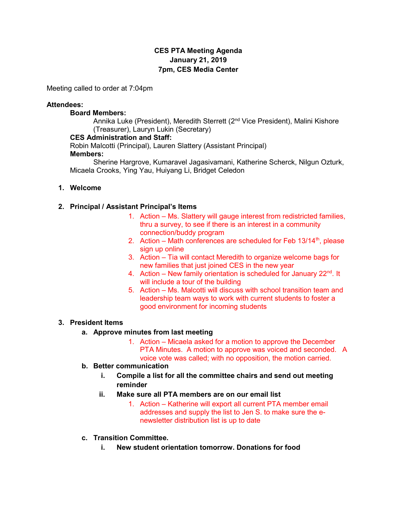# CES PTA Meeting Agenda January 21, 2019 7pm, CES Media Center

Meeting called to order at 7:04pm

#### Attendees:

#### Board Members:

Annika Luke (President), Meredith Sterrett (2<sup>nd</sup> Vice President), Malini Kishore (Treasurer), Lauryn Lukin (Secretary)

#### CES Administration and Staff:

Robin Malcotti (Principal), Lauren Slattery (Assistant Principal)

## Members:

 Sherine Hargrove, Kumaravel Jagasivamani, Katherine Scherck, Nilgun Ozturk, Micaela Crooks, Ying Yau, Huiyang Li, Bridget Celedon

#### 1. Welcome

### 2. Principal / Assistant Principal's Items

- 1. Action Ms. Slattery will gauge interest from redistricted families, thru a survey, to see if there is an interest in a community connection/buddy program
- 2. Action Math conferences are scheduled for Feb  $13/14<sup>th</sup>$ , please sign up online
- 3. Action Tia will contact Meredith to organize welcome bags for new families that just joined CES in the new year
- 4. Action New family orientation is scheduled for January  $22<sup>nd</sup>$ . It will include a tour of the building
- 5. Action Ms. Malcotti will discuss with school transition team and leadership team ways to work with current students to foster a good environment for incoming students

### 3. President Items

### a. Approve minutes from last meeting

1. Action – Micaela asked for a motion to approve the December PTA Minutes. A motion to approve was voiced and seconded. A voice vote was called; with no opposition, the motion carried.

### b. Better communication

- i. Compile a list for all the committee chairs and send out meeting reminder
- ii. Make sure all PTA members are on our email list
	- 1. Action Katherine will export all current PTA member email addresses and supply the list to Jen S. to make sure the enewsletter distribution list is up to date
- c. Transition Committee.
	- i. New student orientation tomorrow. Donations for food